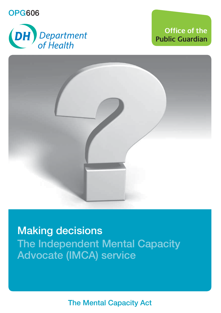**OPG606** 



**Office of the Public Guardian** 



**Making decisions The Independent Mental Capacity Advocate (IMCA) service** 

**The Mental Capacity Act**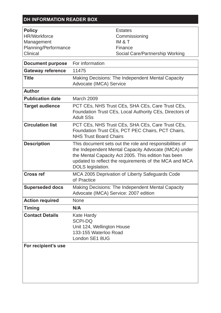#### **DH INFORMATION READER BOX**

| Policy               | Estates                         |
|----------------------|---------------------------------|
| HR/Workforce         | Commissioning                   |
| Management           | IM & T                          |
| Planning/Performance | Finance                         |
| Clinical             | Social Care/Partnership Working |

| <b>Document purpose</b>  | For information                                                                                                                                                                                                                                        |
|--------------------------|--------------------------------------------------------------------------------------------------------------------------------------------------------------------------------------------------------------------------------------------------------|
| <b>Gateway reference</b> | 11475                                                                                                                                                                                                                                                  |
| Title                    | Making Decisions: The Independent Mental Capacity<br>Advocate (IMCA) Service                                                                                                                                                                           |
| Author                   |                                                                                                                                                                                                                                                        |
| <b>Publication date</b>  | March 2009                                                                                                                                                                                                                                             |
| <b>Target audience</b>   | PCT CEs, NHS Trust CEs, SHA CEs, Care Trust CEs,<br>Foundation Trust CEs, Local Authority CEs, Directors of<br><b>Adult SSs</b>                                                                                                                        |
| <b>Circulation list</b>  | PCT CEs, NHS Trust CEs, SHA CEs, Care Trust CEs,<br>Foundation Trust CEs, PCT PEC Chairs, PCT Chairs,<br><b>NHS Trust Board Chairs</b>                                                                                                                 |
| <b>Description</b>       | This document sets out the role and responsibilities of<br>the Independent Mental Capacity Advocate (IMCA) under<br>the Mental Capacity Act 2005. This edition has been<br>updated to reflect the requirements of the MCA and MCA<br>DOLS legislation. |
| Cross ref                | MCA 2005 Deprivation of Liberty Safeguards Code<br>of Practice                                                                                                                                                                                         |
| <b>Superseded docs</b>   | Making Decisions: The Independent Mental Capacity<br>Advocate (IMCA) Service: 2007 edition                                                                                                                                                             |
| <b>Action required</b>   | <b>None</b>                                                                                                                                                                                                                                            |
| <b>Timing</b>            | N/A                                                                                                                                                                                                                                                    |
| <b>Contact Details</b>   | Kate Hardy<br>SCPI-DO<br>Unit 124, Wellington House<br>133-155 Waterloo Road<br>London SE1 8UG                                                                                                                                                         |
| For recipient's use      |                                                                                                                                                                                                                                                        |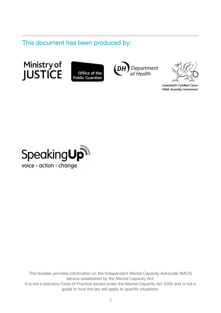This document has been produced by:







Llywodraeth Cynulliad Cymru Welsh Assembly Government



This booklet provides information on the Independent Mental Capacity Advocate (IMCA) service established by the Mental Capacity Act. It is not a statutory Code of Practice issued under the Mental Capacity Act 2005 and is not a guide to how the law will apply to specific situations.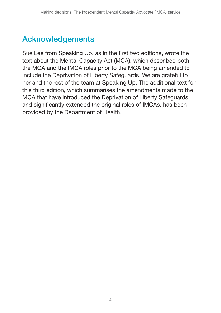# **Acknowledgements**

Sue Lee from Speaking Up, as in the first two editions, wrote the text about the Mental Capacity Act (MCA), which described both the MCA and the IMCA roles prior to the MCA being amended to include the Deprivation of Liberty Safeguards. We are grateful to her and the rest of the team at Speaking Up. The additional text for this third edition, which summarises the amendments made to the MCA that have introduced the Deprivation of Liberty Safeguards, and significantly extended the original roles of IMCAs, has been provided by the Department of Health.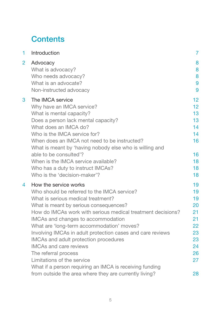## **Contents**

| 1              | Introduction                                                | $\overline{7}$  |
|----------------|-------------------------------------------------------------|-----------------|
| $\overline{2}$ | Advocacy<br>What is advocacy?                               | 8<br>8          |
|                | Who needs advocacy?                                         | 8               |
|                | What is an advocate?                                        | 9               |
|                | Non-instructed advocacy                                     | 9               |
| 3              | The IMCA service                                            | 12 <sup>2</sup> |
|                | Why have an IMCA service?                                   | 12 <sup>2</sup> |
|                | What is mental capacity?                                    | 13              |
|                | Does a person lack mental capacity?                         | 13              |
|                | What does an IMCA do?                                       | 14              |
|                | Who is the IMCA service for?                                | 14              |
|                | When does an IMCA not need to be instructed?                | 16              |
|                | What is meant by 'having nobody else who is willing and     |                 |
|                | able to be consulted'?                                      | 16              |
|                | When is the IMCA service available?                         | 18              |
|                | Who has a duty to instruct IMCAs?                           | 18              |
|                | Who is the 'decision-maker'?                                | 18              |
| 4              | How the service works                                       | 19              |
|                | Who should be referred to the IMCA service?                 | 19              |
|                | What is serious medical treatment?                          | 19              |
|                | What is meant by serious consequences?                      | 20              |
|                | How do IMCAs work with serious medical treatment decisions? | 21              |
|                | IMCAs and changes to accommodation                          | 21              |
|                | What are 'long-term accommodation' moves?                   | 22              |
|                | Involving IMCAs in adult protection cases and care reviews  | 23              |
|                | IMCAs and adult protection procedures                       | 23              |
|                | <b>IMCAs and care reviews</b>                               | 24              |
|                | The referral process                                        | 26              |
|                | Limitations of the service                                  | 27              |
|                | What if a person requiring an IMCA is receiving funding     |                 |
|                | from outside the area where they are currently living?      | 28              |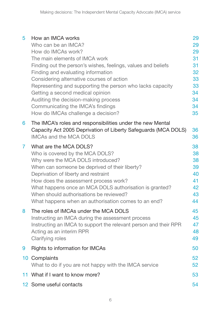| 5. | How an IMCA works<br>Who can be an IMCA?<br>How do IMCAs work?<br>The main elements of IMCA work<br>Finding out the person's wishes, feelings, values and beliefs<br>Finding and evaluating information<br>Considering alternative courses of action<br>Representing and supporting the person who lacks capacity<br>Getting a second medical opinion<br>Auditing the decision-making process<br>Communicating the IMCA's findings<br>How do IMCAs challenge a decision? | 29<br>29<br>29<br>31<br>31<br>32<br>33<br>33<br>34<br>34<br>34<br>35 |
|----|--------------------------------------------------------------------------------------------------------------------------------------------------------------------------------------------------------------------------------------------------------------------------------------------------------------------------------------------------------------------------------------------------------------------------------------------------------------------------|----------------------------------------------------------------------|
| 6  | The IMCA's roles and responsibilities under the new Mental<br>Capacity Act 2005 Deprivation of Liberty Safeguards (MCA DOLS)<br><b>IMCAs and the MCA DOLS</b>                                                                                                                                                                                                                                                                                                            | 36<br>36                                                             |
| 7  | What are the MCA DOLS?<br>Who is covered by the MCA DOLS?<br>Why were the MCA DOLS introduced?<br>When can someone be deprived of their liberty?<br>Deprivation of liberty and restraint<br>How does the assessment process work?<br>What happens once an MCA DOLS authorisation is granted?<br>When should authorisations be reviewed?<br>What happens when an authorisation comes to an end?                                                                           | 38<br>38<br>38<br>39<br>40<br>41<br>42<br>43<br>44                   |
| 8  | The roles of IMCAs under the MCA DOLS<br>Instructing an IMCA during the assessment process<br>Instructing an IMCA to support the relevant person and their RPR<br>Acting as an interim RPR<br>Clarifying roles                                                                                                                                                                                                                                                           | 45<br>45<br>47<br>48<br>49                                           |
| 9  | Rights to information for IMCAs                                                                                                                                                                                                                                                                                                                                                                                                                                          | 50                                                                   |
|    | 10 Complaints<br>What to do if you are not happy with the IMCA service                                                                                                                                                                                                                                                                                                                                                                                                   | 52<br>52                                                             |
|    | 11 What if I want to know more?                                                                                                                                                                                                                                                                                                                                                                                                                                          | 53                                                                   |
|    | 12 Some useful contacts                                                                                                                                                                                                                                                                                                                                                                                                                                                  | 54                                                                   |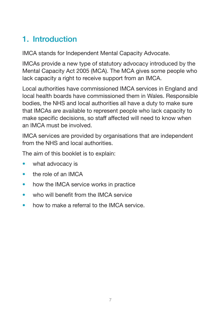# <span id="page-6-0"></span>**1. Introduction**

IMCA stands for Independent Mental Capacity Advocate.

IMCAs provide a new type of statutory advocacy introduced by the Mental Capacity Act 2005 (MCA). The MCA gives some people who lack capacity a right to receive support from an IMCA.

Local authorities have commissioned IMCA services in England and local health boards have commissioned them in Wales. Responsible bodies, the NHS and local authorities all have a duty to make sure that IMCAs are available to represent people who lack capacity to make specific decisions, so staff affected will need to know when an IMCA must be involved.

IMCA services are provided by organisations that are independent from the NHS and local authorities.

The aim of this booklet is to explain:

- what advocacy is
- the role of an IMCA
- how the IMCA service works in practice
- who will benefit from the IMCA service
- how to make a referral to the IMCA service.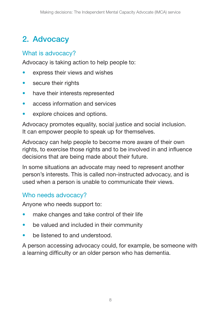# <span id="page-7-0"></span>**2. Advocacy**

## What is advocacy?

Advocacy is taking action to help people to:

- express their views and wishes
- secure their rights
- have their interests represented
- access information and services
- explore choices and options.

Advocacy promotes equality, social justice and social inclusion. It can empower people to speak up for themselves.

Advocacy can help people to become more aware of their own rights, to exercise those rights and to be involved in and influence decisions that are being made about their future.

In some situations an advocate may need to represent another person's interests. This is called non-instructed advocacy, and is used when a person is unable to communicate their views.

## Who needs advocacy?

Anyone who needs support to:

- make changes and take control of their life
- be valued and included in their community
- be listened to and understood.

A person accessing advocacy could, for example, be someone with a learning difficulty or an older person who has dementia.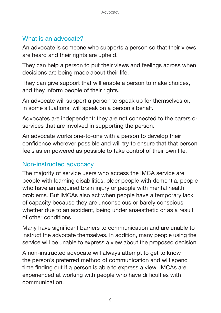### <span id="page-8-0"></span>What is an advocate?

An advocate is someone who supports a person so that their views are heard and their rights are upheld.

They can help a person to put their views and feelings across when decisions are being made about their life.

They can give support that will enable a person to make choices, and they inform people of their rights.

An advocate will support a person to speak up for themselves or, in some situations, will speak on a person's behalf.

Advocates are independent: they are not connected to the carers or services that are involved in supporting the person.

An advocate works one-to-one with a person to develop their confidence wherever possible and will try to ensure that that person feels as empowered as possible to take control of their own life.

### Non-instructed advocacy

The majority of service users who access the IMCA service are people with learning disabilities, older people with dementia, people who have an acquired brain injury or people with mental health problems. But IMCAs also act when people have a temporary lack of capacity because they are unconscious or barely conscious – whether due to an accident, being under anaesthetic or as a result of other conditions.

Many have significant barriers to communication and are unable to instruct the advocate themselves. In addition, many people using the service will be unable to express a view about the proposed decision.

A non-instructed advocate will always attempt to get to know the person's preferred method of communication and will spend time finding out if a person is able to express a view. IMCAs are experienced at working with people who have difficulties with communication.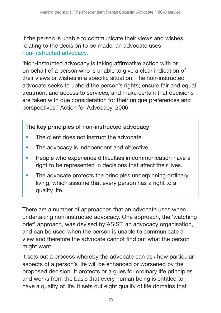If the person is unable to communicate their views and wishes relating to the decision to be made, an advocate uses non-instructed advocacy.

'Non-instructed advocacy is taking affirmative action with or on behalf of a person who is unable to give a clear indication of their views or wishes in a specific situation. The non-instructed advocate seeks to uphold the person's rights; ensure fair and equal treatment and access to services; and make certain that decisions are taken with due consideration for their unique preferences and perspectives.' Action for Advocacy, 2006.

**The key principles of non-instructed advocacy** 

- The client does not instruct the advocate.
- The advocacy is independent and objective.
- People who experience difficulties in communication have a right to be represented in decisions that affect their lives.
- The advocate protects the principles underpinning ordinary living, which assume that every person has a right to a quality life.

There are a number of approaches that an advocate uses when undertaking non-instructed advocacy. One approach, the 'watching brief' approach, was devised by ASIST, an advocacy organisation, and can be used when the person is unable to communicate a view and therefore the advocate cannot find out what the person might want.

It sets out a process whereby the advocate can ask how particular aspects of a person's life will be enhanced or worsened by the proposed decision. It protects or argues for ordinary life principles and works from the basis that every human being is entitled to have a quality of life. It sets out eight quality of life domains that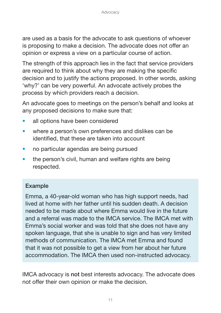are used as a basis for the advocate to ask questions of whoever is proposing to make a decision. The advocate does not offer an opinion or express a view on a particular course of action.

The strength of this approach lies in the fact that service providers are required to think about why they are making the specific decision and to justify the actions proposed. In other words, asking 'why?' can be very powerful. An advocate actively probes the process by which providers reach a decision.

An advocate goes to meetings on the person's behalf and looks at any proposed decisions to make sure that:

- all options have been considered
- where a person's own preferences and dislikes can be identified, that these are taken into account
- no particular agendas are being pursued
- the person's civil, human and welfare rights are being respected.

#### **Example**

Emma, a 40-year-old woman who has high support needs, had lived at home with her father until his sudden death. A decision needed to be made about where Emma would live in the future and a referral was made to the IMCA service. The IMCA met with Emma's social worker and was told that she does not have any spoken language, that she is unable to sign and has very limited methods of communication. The IMCA met Emma and found that it was not possible to get a view from her about her future accommodation. The IMCA then used non-instructed advocacy.

IMCA advocacy is **not** best interests advocacy. The advocate does not offer their own opinion or make the decision.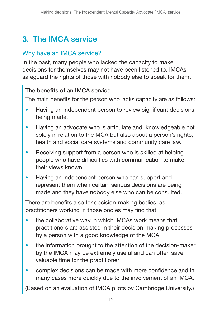## <span id="page-11-0"></span>**3. The IMCA service**

#### Why have an IMCA service?

In the past, many people who lacked the capacity to make decisions for themselves may not have been listened to. IMCAs safeguard the rights of those with nobody else to speak for them.

#### **The benefits of an IMCA service**

The main benefits for the person who lacks capacity are as follows:

- Having an independent person to review significant decisions being made.
- Having an advocate who is articulate and knowledgeable not solely in relation to the MCA but also about a person's rights, health and social care systems and community care law.
- Receiving support from a person who is skilled at helping people who have difficulties with communication to make their views known.
- Having an independent person who can support and represent them when certain serious decisions are being made and they have nobody else who can be consulted.

There are benefits also for decision-making bodies, as practitioners working in those bodies may find that

- the collaborative way in which IMCAs work means that practitioners are assisted in their decision-making processes by a person with a good knowledge of the MCA
- the information brought to the attention of the decision-maker by the IMCA may be extremely useful and can often save valuable time for the practitioner
- complex decisions can be made with more confidence and in many cases more quickly due to the involvement of an IMCA.

(Based on an evaluation of IMCA pilots by Cambridge University.)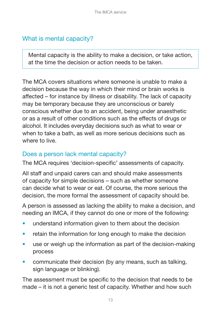## <span id="page-12-0"></span>What is mental capacity?

Mental capacity is the ability to make a decision, or take action, at the time the decision or action needs to be taken.

The MCA covers situations where someone is unable to make a decision because the way in which their mind or brain works is affected – for instance by illness or disability. The lack of capacity may be temporary because they are unconscious or barely conscious whether due to an accident, being under anaesthetic or as a result of other conditions such as the effects of drugs or alcohol. It includes everyday decisions such as what to wear or when to take a bath, as well as more serious decisions such as where to live.

### Does a person lack mental capacity?

The MCA requires 'decision-specific' assessments of capacity.

All staff and unpaid carers can and should make assessments of capacity for simple decisions – such as whether someone can decide what to wear or eat. Of course, the more serious the decision, the more formal the assessment of capacity should be.

A person is assessed as lacking the ability to make a decision, and needing an IMCA, if they cannot do one or more of the following:

- understand information given to them about the decision
- retain the information for long enough to make the decision
- use or weigh up the information as part of the decision-making process
- communicate their decision (by any means, such as talking, sign language or blinking).

The assessment must be specific to the decision that needs to be made – it is not a generic test of capacity. Whether and how such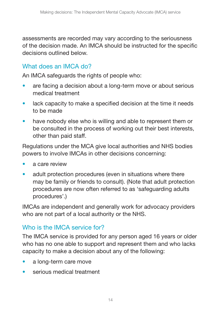<span id="page-13-0"></span>assessments are recorded may vary according to the seriousness of the decision made. An IMCA should be instructed for the specific decisions outlined below.

#### What does an IMCA do?

An IMCA safeguards the rights of people who:

- are facing a decision about a long-term move or about serious medical treatment
- lack capacity to make a specified decision at the time it needs to be made
- have nobody else who is willing and able to represent them or be consulted in the process of working out their best interests, other than paid staff.

Regulations under the MCA give local authorities and NHS bodies powers to involve IMCAs in other decisions concerning:

- a care review
- adult protection procedures (even in situations where there may be family or friends to consult). (Note that adult protection procedures are now often referred to as 'safeguarding adults procedures'.)

IMCAs are independent and generally work for advocacy providers who are not part of a local authority or the NHS.

### Who is the IMCA service for?

The IMCA service is provided for any person aged 16 years or older who has no one able to support and represent them and who lacks capacity to make a decision about any of the following:

- a long-term care move
- serious medical treatment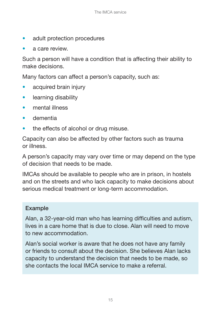- adult protection procedures
- a care review.

Such a person will have a condition that is affecting their ability to make decisions.

Many factors can affect a person's capacity, such as:

- acquired brain injury
- learning disability
- mental illness
- dementia
- the effects of alcohol or drug misuse.

Capacity can also be affected by other factors such as trauma or illness.

A person's capacity may vary over time or may depend on the type of decision that needs to be made.

IMCAs should be available to people who are in prison, in hostels and on the streets and who lack capacity to make decisions about serious medical treatment or long-term accommodation.

#### **Example**

Alan, a 32-year-old man who has learning difficulties and autism, lives in a care home that is due to close. Alan will need to move to new accommodation.

Alan's social worker is aware that he does not have any family or friends to consult about the decision. She believes Alan lacks capacity to understand the decision that needs to be made, so she contacts the local IMCA service to make a referral.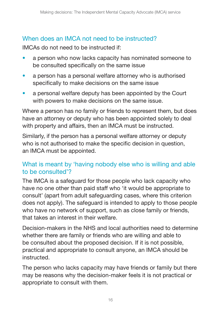## <span id="page-15-0"></span>When does an IMCA not need to be instructed?

IMCAs do not need to be instructed if:

- a person who now lacks capacity has nominated someone to be consulted specifically on the same issue
- a person has a personal welfare attorney who is authorised specifically to make decisions on the same issue
- a personal welfare deputy has been appointed by the Court with powers to make decisions on the same issue.

Where a person has no family or friends to represent them, but does have an attorney or deputy who has been appointed solely to deal with property and affairs, then an IMCA must be instructed.

Similarly, if the person has a personal welfare attorney or deputy who is not authorised to make the specific decision in question, an IMCA must be appointed.

### What is meant by 'having nobody else who is willing and able to be consulted'?

The IMCA is a safeguard for those people who lack capacity who have no one other than paid staff who 'it would be appropriate to consult' (apart from adult safeguarding cases, where this criterion does not apply). The safeguard is intended to apply to those people who have no network of support, such as close family or friends, that takes an interest in their welfare.

Decision-makers in the NHS and local authorities need to determine whether there are family or friends who are willing and able to be consulted about the proposed decision. If it is not possible, practical and appropriate to consult anyone, an IMCA should be instructed.

The person who lacks capacity may have friends or family but there may be reasons why the decision-maker feels it is not practical or appropriate to consult with them.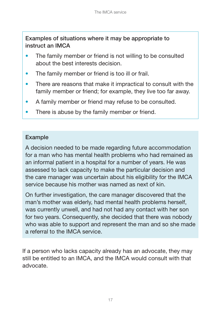**Examples of situations where it may be appropriate to instruct an IMCA** 

- The family member or friend is not willing to be consulted about the best interests decision.
- The family member or friend is too ill or frail.
- There are reasons that make it impractical to consult with the family member or friend; for example, they live too far away.
- A family member or friend may refuse to be consulted.
- There is abuse by the family member or friend.

#### **Example**

A decision needed to be made regarding future accommodation for a man who has mental health problems who had remained as an informal patient in a hospital for a number of years. He was assessed to lack capacity to make the particular decision and the care manager was uncertain about his eligibility for the IMCA service because his mother was named as next of kin.

On further investigation, the care manager discovered that the man's mother was elderly, had mental health problems herself, was currently unwell, and had not had any contact with her son for two years. Consequently, she decided that there was nobody who was able to support and represent the man and so she made a referral to the IMCA service.

If a person who lacks capacity already has an advocate, they may still be entitled to an IMCA, and the IMCA would consult with that advocate.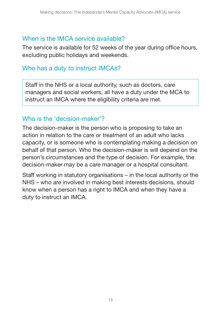#### <span id="page-17-0"></span>When is the IMCA service available?

The service is available for 52 weeks of the year during office hours, excluding public holidays and weekends.

## Who has a duty to instruct IMCAs?

Staff in the NHS or a local authority, such as doctors, care managers and social workers, all have a duty under the MCA to instruct an IMCA where the eligibility criteria are met.

#### Who is the 'decision-maker'?

The decision-maker is the person who is proposing to take an action in relation to the care or treatment of an adult who lacks capacity, or is someone who is contemplating making a decision on behalf of that person. Who the decision-maker is will depend on the person's circumstances and the type of decision. For example, the decision-maker may be a care manager or a hospital consultant.

Staff working in statutory organisations – in the local authority or the NHS – who are involved in making best interests decisions, should know when a person has a right to IMCA and when they have a duty to instruct an IMCA.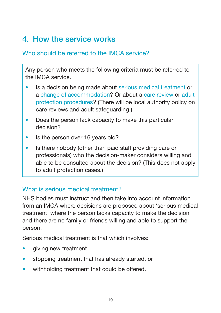# <span id="page-18-0"></span>**4. How the service works**

### Who should be referred to the IMCA service?

Any person who meets the following criteria must be referred to the IMCA service.

- Is a decision being made about serious medical treatment or a change of accommodation? Or about a care review or adult protection procedures? (There will be local authority policy on care reviews and adult safeguarding.)
- Does the person lack capacity to make this particular decision?
- Is the person over 16 years old?
- Is there nobody (other than paid staff providing care or professionals) who the decision-maker considers willing and able to be consulted about the decision? (This does not apply to adult protection cases.)

### What is serious medical treatment?

NHS bodies must instruct and then take into account information from an IMCA where decisions are proposed about 'serious medical treatment' where the person lacks capacity to make the decision and there are no family or friends willing and able to support the person.

Serious medical treatment is that which involves:

- giving new treatment
- stopping treatment that has already started, or
- withholding treatment that could be offered.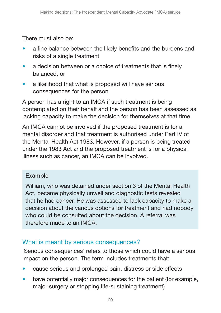<span id="page-19-0"></span>There must also be:

- a fine balance between the likely benefits and the burdens and risks of a single treatment
- a decision between or a choice of treatments that is finely balanced, or
- a likelihood that what is proposed will have serious consequences for the person.

A person has a right to an IMCA if such treatment is being contemplated on their behalf and the person has been assessed as lacking capacity to make the decision for themselves at that time.

An IMCA cannot be involved if the proposed treatment is for a mental disorder and that treatment is authorised under Part IV of the Mental Health Act 1983. However, if a person is being treated under the 1983 Act and the proposed treatment is for a physical illness such as cancer, an IMCA can be involved.

#### **Example**

William, who was detained under section 3 of the Mental Health Act, became physically unwell and diagnostic tests revealed that he had cancer. He was assessed to lack capacity to make a decision about the various options for treatment and had nobody who could be consulted about the decision. A referral was therefore made to an IMCA.

#### What is meant by serious consequences?

'Serious consequences' refers to those which could have a serious impact on the person. The term includes treatments that:

- cause serious and prolonged pain, distress or side effects
- have potentially major consequences for the patient (for example, major surgery or stopping life-sustaining treatment)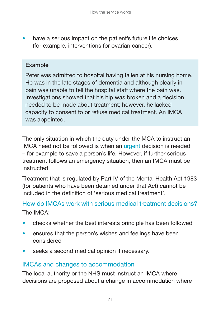<span id="page-20-0"></span>have a serious impact on the patient's future life choices (for example, interventions for ovarian cancer).

#### **Example**

Peter was admitted to hospital having fallen at his nursing home. He was in the late stages of dementia and although clearly in pain was unable to tell the hospital staff where the pain was. Investigations showed that his hip was broken and a decision needed to be made about treatment; however, he lacked capacity to consent to or refuse medical treatment. An IMCA was appointed.

The only situation in which the duty under the MCA to instruct an IMCA need not be followed is when an urgent decision is needed – for example to save a person's life. However, if further serious treatment follows an emergency situation, then an IMCA must be instructed.

Treatment that is regulated by Part IV of the Mental Health Act 1983 (for patients who have been detained under that Act) cannot be included in the definition of 'serious medical treatment'.

How do IMCAs work with serious medical treatment decisions? The IMCA:

- checks whether the best interests principle has been followed
- ensures that the person's wishes and feelings have been considered
- seeks a second medical opinion if necessary.

### IMCAs and changes to accommodation

The local authority or the NHS must instruct an IMCA where decisions are proposed about a change in accommodation where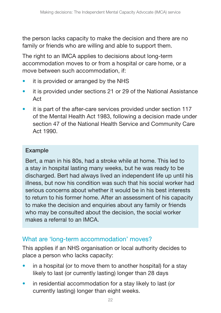<span id="page-21-0"></span>the person lacks capacity to make the decision and there are no family or friends who are willing and able to support them.

The right to an IMCA applies to decisions about long-term accommodation moves to or from a hospital or care home, or a move between such accommodation, if:

- it is provided or arranged by the NHS
- it is provided under sections 21 or 29 of the National Assistance Act
- it is part of the after-care services provided under section 117 of the Mental Health Act 1983, following a decision made under section 47 of the National Health Service and Community Care Act 1990.

#### **Example**

Bert, a man in his 80s, had a stroke while at home. This led to a stay in hospital lasting many weeks, but he was ready to be discharged. Bert had always lived an independent life up until his illness, but now his condition was such that his social worker had serious concerns about whether it would be in his best interests to return to his former home. After an assessment of his capacity to make the decision and enquiries about any family or friends who may be consulted about the decision, the social worker makes a referral to an IMCA.

#### What are 'long-term accommodation' moves?

This applies if an NHS organisation or local authority decides to place a person who lacks capacity:

- in a hospital (or to move them to another hospital) for a stay likely to last (or currently lasting) longer than 28 days
- in residential accommodation for a stay likely to last (or currently lasting) longer than eight weeks.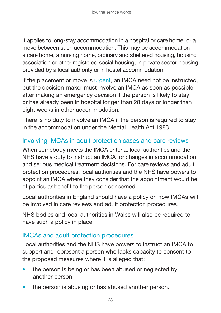<span id="page-22-0"></span>It applies to long-stay accommodation in a hospital or care home, or a move between such accommodation. This may be accommodation in a care home, a nursing home, ordinary and sheltered housing, housing association or other registered social housing, in private sector housing provided by a local authority or in hostel accommodation.

If the placement or move is urgent, an IMCA need not be instructed, but the decision-maker must involve an IMCA as soon as possible after making an emergency decision if the person is likely to stay or has already been in hospital longer than 28 days or longer than eight weeks in other accommodation.

There is no duty to involve an IMCA if the person is required to stay in the accommodation under the Mental Health Act 1983.

## Involving IMCAs in adult protection cases and care reviews

When somebody meets the IMCA criteria, local authorities and the NHS have a duty to instruct an IMCA for changes in accommodation and serious medical treatment decisions. For care reviews and adult protection procedures, local authorities and the NHS have powers to appoint an IMCA where they consider that the appointment would be of particular benefit to the person concerned.

Local authorities in England should have a policy on how IMCAs will be involved in care reviews and adult protection procedures.

NHS bodies and local authorities in Wales will also be required to have such a policy in place.

### IMCAs and adult protection procedures

Local authorities and the NHS have powers to instruct an IMCA to support and represent a person who lacks capacity to consent to the proposed measures where it is alleged that:

- the person is being or has been abused or neglected by another person
- the person is abusing or has abused another person.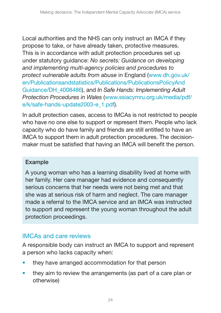<span id="page-23-0"></span>Local authorities and the NHS can only instruct an IMCA if they propose to take, or have already taken, protective measures. This is in accordance with adult protection procedures set up under statutory guidance: *No secrets: Guidance on developing and implementing multi-agency policies and procedures to protect vulnerable adults from abuse* in England [\(www.dh.gov.u](http://www.dh.gov.uk/en/Publicationsandstatistics/Publications/PublicationsPolicyAndGuidance/DH_4008486)k/ [en/Publicationsandstatistics/Publications/PublicationsPolicyAnd](http://www.dh.gov.uk/en/Publicationsandstatistics/Publications/PublicationsPolicyAndGuidance/DH_4008486)  Guidance/DH\_4008486), and *In Safe Hands: Implementing Adult Protection Procedures in Wales* [\(www.ssiacymru.org.uk/media/pdf/](http://www.ssiacymru.org.uk/media/pdf/e/k/safe-hands-update2003-e_1.pdf)  e/k/safe-hands-update2003-e\_1.pdf).

In adult protection cases, access to IMCAs is not restricted to people who have no one else to support or represent them. People who lack capacity who do have family and friends are still entitled to have an IMCA to support them in adult protection procedures. The decisionmaker must be satisfied that having an IMCA will benefit the person.

#### **Example**

A young woman who has a learning disability lived at home with her family. Her care manager had evidence and consequently serious concerns that her needs were not being met and that she was at serious risk of harm and neglect. The care manager made a referral to the IMCA service and an IMCA was instructed to support and represent the young woman throughout the adult protection proceedings.

### IMCAs and care reviews

A responsible body can instruct an IMCA to support and represent a person who lacks capacity when:

- they have arranged accommodation for that person
- they aim to review the arrangements (as part of a care plan or otherwise)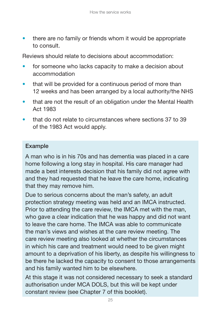there are no family or friends whom it would be appropriate to consult.

Reviews should relate to decisions about accommodation:

- for someone who lacks capacity to make a decision about accommodation
- that will be provided for a continuous period of more than 12 weeks and has been arranged by a local authority/the NHS
- that are not the result of an obligation under the Mental Health Act 1983
- that do not relate to circumstances where sections 37 to 39 of the 1983 Act would apply.

#### **Example**

A man who is in his 70s and has dementia was placed in a care home following a long stay in hospital. His care manager had made a best interests decision that his family did not agree with and they had requested that he leave the care home, indicating that they may remove him.

Due to serious concerns about the man's safety, an adult protection strategy meeting was held and an IMCA instructed. Prior to attending the care review, the IMCA met with the man, who gave a clear indication that he was happy and did not want to leave the care home. The IMCA was able to communicate the man's views and wishes at the care review meeting. The care review meeting also looked at whether the circumstances in which his care and treatment would need to be given might amount to a deprivation of his liberty, as despite his willingness to be there he lacked the capacity to consent to those arrangements and his family wanted him to be elsewhere.

At this stage it was not considered necessary to seek a standard authorisation under MCA DOLS, but this will be kept under constant review (see Chapter 7 of this booklet).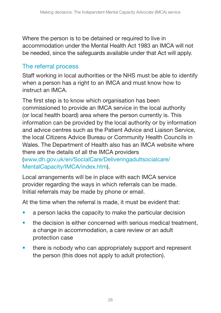<span id="page-25-0"></span>Where the person is to be detained or required to live in accommodation under the Mental Health Act 1983 an IMCA will not be needed, since the safeguards available under that Act will apply.

## The referral process

Staff working in local authorities or the NHS must be able to identify when a person has a right to an IMCA and must know how to instruct an IMCA.

The first step is to know which organisation has been commissioned to provide an IMCA service in the local authority (or local health board) area where the person currently is. This information can be provided by the local authority or by information and advice centres such as the Patient Advice and Liaison Service, the local Citizens Advice Bureau or Community Health Councils in Wales. The Department of Health also has an IMCA website where there are the details of all the IMCA providers [\(www.dh.gov.uk/en/SocialCare/Deliveringadultsocialcare/](http://www.dh.gov.uk/en/SocialCare/Deliveringadultsocialcare/MentalCapacity/IMCA/index.htm)  MentalCapacity/IMCA/index.htm).

Local arrangements will be in place with each IMCA service provider regarding the ways in which referrals can be made. Initial referrals may be made by phone or email.

At the time when the referral is made, it must be evident that:

- a person lacks the capacity to make the particular decision
- the decision is either concerned with serious medical treatment, a change in accommodation, a care review or an adult protection case
- there is nobody who can appropriately support and represent the person (this does not apply to adult protection).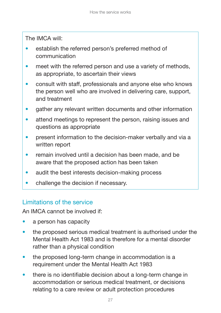<span id="page-26-0"></span>The IMCA will:

- establish the referred person's preferred method of communication
- meet with the referred person and use a variety of methods, as appropriate, to ascertain their views
- consult with staff, professionals and anyone else who knows the person well who are involved in delivering care, support, and treatment
- gather any relevant written documents and other information
- attend meetings to represent the person, raising issues and questions as appropriate
- present information to the decision-maker verbally and via a written report
- remain involved until a decision has been made, and be aware that the proposed action has been taken
- audit the best interests decision-making process
- challenge the decision if necessary.

## Limitations of the service

An IMCA cannot be involved if:

- a person has capacity
- the proposed serious medical treatment is authorised under the Mental Health Act 1983 and is therefore for a mental disorder rather than a physical condition
- the proposed long-term change in accommodation is a requirement under the Mental Health Act 1983
- there is no identifiable decision about a long-term change in accommodation or serious medical treatment, or decisions relating to a care review or adult protection procedures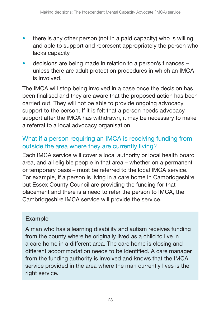- <span id="page-27-0"></span> $\bullet$  there is any other person (not in a paid capacity) who is willing and able to support and represent appropriately the person who lacks capacity
- decisions are being made in relation to a person's finances unless there are adult protection procedures in which an IMCA is involved.

The IMCA will stop being involved in a case once the decision has been finalised and they are aware that the proposed action has been carried out. They will not be able to provide ongoing advocacy support to the person. If it is felt that a person needs advocacy support after the IMCA has withdrawn, it may be necessary to make a referral to a local advocacy organisation.

### What if a person requiring an IMCA is receiving funding from outside the area where they are currently living?

Each IMCA service will cover a local authority or local health board area, and all eligible people in that area – whether on a permanent or temporary basis – must be referred to the local IMCA service. For example, if a person is living in a care home in Cambridgeshire but Essex County Council are providing the funding for that placement and there is a need to refer the person to IMCA, the Cambridgeshire IMCA service will provide the service.

#### **Example**

A man who has a learning disability and autism receives funding from the county where he originally lived as a child to live in a care home in a different area. The care home is closing and different accommodation needs to be identified. A care manager from the funding authority is involved and knows that the IMCA service provided in the area where the man currently lives is the right service.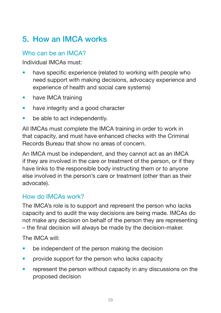# <span id="page-28-0"></span>**5. How an IMCA works**

#### Who can be an IMCA?

Individual IMCAs must:

- have specific experience (related to working with people who need support with making decisions, advocacy experience and experience of health and social care systems)
- have IMCA training
- have integrity and a good character
- be able to act independently.

All IMCAs must complete the IMCA training in order to work in that capacity, and must have enhanced checks with the Criminal Records Bureau that show no areas of concern.

An IMCA must be independent, and they cannot act as an IMCA if they are involved in the care or treatment of the person, or if they have links to the responsible body instructing them or to anyone else involved in the person's care or treatment (other than as their advocate).

#### How do IMCAs work?

The IMCA's role is to support and represent the person who lacks capacity and to audit the way decisions are being made. IMCAs do not make any decision on behalf of the person they are representing – the final decision will always be made by the decision-maker.

The IMCA will:

- be independent of the person making the decision
- provide support for the person who lacks capacity
- represent the person without capacity in any discussions on the proposed decision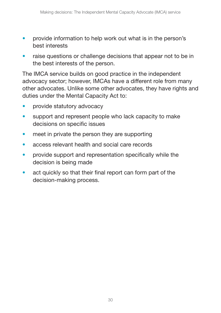- provide information to help work out what is in the person's best interests
- raise questions or challenge decisions that appear not to be in the best interests of the person.

The IMCA service builds on good practice in the independent advocacy sector; however, IMCAs have a different role from many other advocates. Unlike some other advocates, they have rights and duties under the Mental Capacity Act to:

- provide statutory advocacy
- support and represent people who lack capacity to make decisions on specific issues
- meet in private the person they are supporting
- access relevant health and social care records
- provide support and representation specifically while the decision is being made
- act quickly so that their final report can form part of the decision-making process.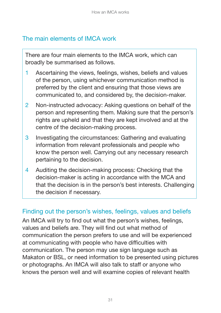## <span id="page-30-0"></span>The main elements of IMCA work

There are four main elements to the IMCA work, which can broadly be summarised as follows.

- 1 Ascertaining the views, feelings, wishes, beliefs and values of the person, using whichever communication method is preferred by the client and ensuring that those views are communicated to, and considered by, the decision-maker.
- 2 Non-instructed advocacy: Asking questions on behalf of the person and representing them. Making sure that the person's rights are upheld and that they are kept involved and at the centre of the decision-making process.
- 3 Investigating the circumstances: Gathering and evaluating information from relevant professionals and people who know the person well. Carrying out any necessary research pertaining to the decision.
- 4 Auditing the decision-making process: Checking that the decision-maker is acting in accordance with the MCA and that the decision is in the person's best interests. Challenging the decision if necessary.

### Finding out the person's wishes, feelings, values and beliefs

An IMCA will try to find out what the person's wishes, feelings, values and beliefs are. They will find out what method of communication the person prefers to use and will be experienced at communicating with people who have difficulties with communication. The person may use sign language such as Makaton or BSL, or need information to be presented using pictures or photographs. An IMCA will also talk to staff or anyone who knows the person well and will examine copies of relevant health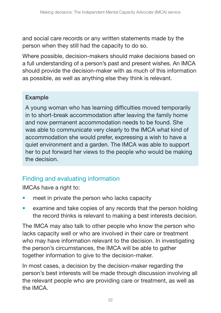<span id="page-31-0"></span>and social care records or any written statements made by the person when they still had the capacity to do so.

Where possible, decision-makers should make decisions based on a full understanding of a person's past and present wishes. An IMCA should provide the decision-maker with as much of this information as possible, as well as anything else they think is relevant.

#### **Example**

A young woman who has learning difficulties moved temporarily in to short-break accommodation after leaving the family home and now permanent accommodation needs to be found. She was able to communicate very clearly to the IMCA what kind of accommodation she would prefer, expressing a wish to have a quiet environment and a garden. The IMCA was able to support her to put forward her views to the people who would be making the decision.

## Finding and evaluating information

IMCAs have a right to:

- meet in private the person who lacks capacity
- examine and take copies of any records that the person holding the record thinks is relevant to making a best interests decision.

The IMCA may also talk to other people who know the person who lacks capacity well or who are involved in their care or treatment who may have information relevant to the decision. In investigating the person's circumstances, the IMCA will be able to gather together information to give to the decision-maker.

In most cases, a decision by the decision-maker regarding the person's best interests will be made through discussion involving all the relevant people who are providing care or treatment, as well as the IMCA.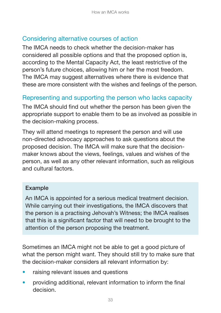#### <span id="page-32-0"></span>Considering alternative courses of action

The IMCA needs to check whether the decision-maker has considered all possible options and that the proposed option is, according to the Mental Capacity Act, the least restrictive of the person's future choices, allowing him or her the most freedom. The IMCA may suggest alternatives where there is evidence that these are more consistent with the wishes and feelings of the person.

### Representing and supporting the person who lacks capacity

The IMCA should find out whether the person has been given the appropriate support to enable them to be as involved as possible in the decision-making process.

They will attend meetings to represent the person and will use non-directed advocacy approaches to ask questions about the proposed decision. The IMCA will make sure that the decisionmaker knows about the views, feelings, values and wishes of the person, as well as any other relevant information, such as religious and cultural factors.

#### **Example**

An IMCA is appointed for a serious medical treatment decision. While carrying out their investigations, the IMCA discovers that the person is a practising Jehovah's Witness; the IMCA realises that this is a significant factor that will need to be brought to the attention of the person proposing the treatment.

Sometimes an IMCA might not be able to get a good picture of what the person might want. They should still try to make sure that the decision-maker considers all relevant information by:

- raising relevant issues and questions
- providing additional, relevant information to inform the final decision.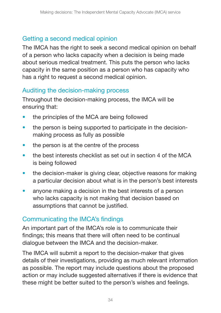## <span id="page-33-0"></span>Getting a second medical opinion

The IMCA has the right to seek a second medical opinion on behalf of a person who lacks capacity when a decision is being made about serious medical treatment. This puts the person who lacks capacity in the same position as a person who has capacity who has a right to request a second medical opinion.

### Auditing the decision-making process

Throughout the decision-making process, the IMCA will be ensuring that:

- the principles of the MCA are being followed
- the person is being supported to participate in the decisionmaking process as fully as possible
- the person is at the centre of the process
- the best interests checklist as set out in section 4 of the MCA is being followed
- the decision-maker is giving clear, objective reasons for making a particular decision about what is in the person's best interests
- anyone making a decision in the best interests of a person who lacks capacity is not making that decision based on assumptions that cannot be justified.

### Communicating the IMCA's findings

An important part of the IMCA's role is to communicate their findings; this means that there will often need to be continual dialogue between the IMCA and the decision-maker.

The IMCA will submit a report to the decision-maker that gives details of their investigations, providing as much relevant information as possible. The report may include questions about the proposed action or may include suggested alternatives if there is evidence that these might be better suited to the person's wishes and feelings.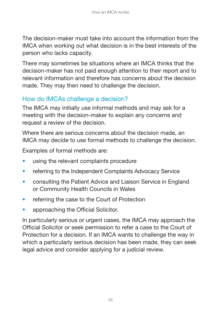<span id="page-34-0"></span>The decision-maker must take into account the information from the IMCA when working out what decision is in the best interests of the person who lacks capacity.

There may sometimes be situations where an IMCA thinks that the decision-maker has not paid enough attention to their report and to relevant information and therefore has concerns about the decision made. They may then need to challenge the decision.

## How do IMCAs challenge a decision?

The IMCA may initially use informal methods and may ask for a meeting with the decision-maker to explain any concerns and request a review of the decision.

Where there are serious concerns about the decision made, an IMCA may decide to use formal methods to challenge the decision.

Examples of formal methods are:

- using the relevant complaints procedure
- referring to the Independent Complaints Advocacy Service
- consulting the Patient Advice and Liaison Service in England or Community Health Councils in Wales
- referring the case to the Court of Protection
- approaching the Official Solicitor.

In particularly serious or urgent cases, the IMCA may approach the Official Solicitor or seek permission to refer a case to the Court of Protection for a decision. If an IMCA wants to challenge the way in which a particularly serious decision has been made, they can seek legal advice and consider applying for a judicial review.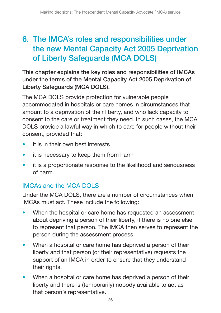## <span id="page-35-0"></span>**6. The IMCA's roles and responsibilities under the new Mental Capacity Act 2005 Deprivation of Liberty Safeguards (MCA DOLS)**

**This chapter explains the key roles and responsibilities of IMCAs under the terms of the Mental Capacity Act 2005 Deprivation of Liberty Safeguards (MCA DOLS).** 

The MCA DOLS provide protection for vulnerable people accommodated in hospitals or care homes in circumstances that amount to a deprivation of their liberty, and who lack capacity to consent to the care or treatment they need. In such cases, the MCA DOLS provide a lawful way in which to care for people without their consent, provided that:

- it is in their own hest interests
- it is necessary to keep them from harm
- it is a proportionate response to the likelihood and seriousness of harm.

## IMCAs and the MCA DOLS

Under the MCA DOLS, there are a number of circumstances when IMCAs must act. These include the following:

- When the hospital or care home has requested an assessment about depriving a person of their liberty, if there is no one else to represent that person. The IMCA then serves to represent the person during the assessment process.
- When a hospital or care home has deprived a person of their liberty and that person (or their representative) requests the support of an IMCA in order to ensure that they understand their rights.
- When a hospital or care home has deprived a person of their liberty and there is (temporarily) nobody available to act as that person's representative.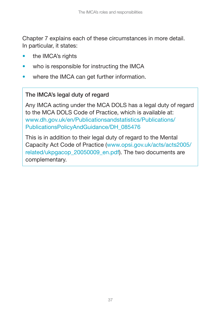Chapter 7 explains each of these circumstances in more detail. In particular, it states:

- the IMCA's rights
- who is responsible for instructing the IMCA
- where the IMCA can get further information.

#### **The IMCA's legal duty of regard**

Any IMCA acting under the MCA DOLS has a legal duty of regard to the MCA DOLS Code of Practice, which is available at: [www.dh.gov.uk/en/Publicationsandstatistics/Publications/](http://www.dh.gov.uk/en/Publicationsandstatistics/Publications/PublicationsPolicyAndGuidance/DH_085476)  PublicationsPolicyAndGuidance/DH\_085476

This is in addition to their legal duty of regard to the Mental [Capacity Act Code of Practice \(www.opsi.gov.uk/acts/acts2005/](http://www.opsi.gov.uk/acts/acts2005/related/ukpgacop_20050009_en.pdf)  related/ukpgacop\_20050009\_en.pdf). The two documents are complementary.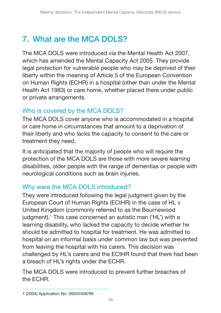# <span id="page-37-0"></span>**7. What are the MCA DOLS?**

The MCA DOLS were introduced via the Mental Health Act 2007, which has amended the Mental Capacity Act 2005. They provide legal protection for vulnerable people who may be deprived of their liberty within the meaning of Article 5 of the European Convention on Human Rights (ECHR) in a hospital (other than under the Mental Health Act 1983) or care home, whether placed there under public or private arrangements.

### Who is covered by the MCA DOLS?

The MCA DOLS cover anyone who is accommodated in a hospital or care home in circumstances that amount to a deprivation of their liberty and who lacks the capacity to consent to the care or treatment they need.

It is anticipated that the majority of people who will require the protection of the MCA DOLS are those with more severe learning disabilities, older people with the range of dementias or people with neurological conditions such as brain injuries.

## Why were the MCA DOLS introduced?

They were introduced following the legal judgment given by the European Court of Human Rights (ECtHR) in the case of HL v United Kingdom (commonly referred to as the Bournewood judgment).<sup>1</sup> This case concerned an autistic man ('HL') with a learning disability, who lacked the capacity to decide whether he should be admitted to hospital for treatment. He was admitted to hospital on an informal basis under common law but was prevented from leaving the hospital with his carers. This decision was challenged by HL's carers and the ECtHR found that there had been a breach of HL's rights under the ECHR.

The MCA DOLS were introduced to prevent further breaches of the ECHR.

<sup>1 (2004)</sup> Application No: 00045508/99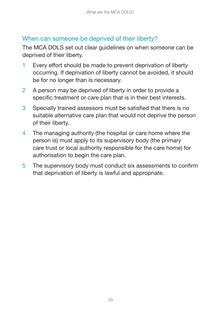#### <span id="page-38-0"></span>When can someone be deprived of their liberty?

The MCA DOLS set out clear guidelines on when someone can be deprived of their liberty.

- 1 Every effort should be made to prevent deprivation of liberty occurring. If deprivation of liberty cannot be avoided, it should be for no longer than is necessary.
- 2 A person may be deprived of liberty in order to provide a specific treatment or care plan that is in their best interests.
- 3 Specially trained assessors must be satisfied that there is no suitable alternative care plan that would not deprive the person of their liberty.
- 4 The managing authority (the hospital or care home where the person is) must apply to its supervisory body (the primary care trust or local authority responsible for the care home) for authorisation to begin the care plan.
- 5 The supervisory body must conduct six assessments to confirm that deprivation of liberty is lawful and appropriate.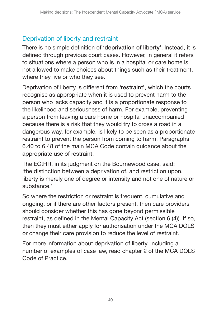## <span id="page-39-0"></span>Deprivation of liberty and restraint

There is no simple definition of '**deprivation of liberty**'. Instead, it is defined through previous court cases. However, in general it refers to situations where a person who is in a hospital or care home is not allowed to make choices about things such as their treatment, where they live or who they see.

Deprivation of liberty is different from **'restraint'**, which the courts recognise as appropriate when it is used to prevent harm to the person who lacks capacity and it is a proportionate response to the likelihood and seriousness of harm. For example, preventing a person from leaving a care home or hospital unaccompanied because there is a risk that they would try to cross a road in a dangerous way, for example, is likely to be seen as a proportionate restraint to prevent the person from coming to harm. Paragraphs 6.40 to 6.48 of the main MCA Code contain guidance about the appropriate use of restraint.

The ECtHR, in its judgment on the Bournewood case, said: 'the distinction between a deprivation of, and restriction upon, liberty is merely one of degree or intensity and not one of nature or substance.'

So where the restriction or restraint is frequent, cumulative and ongoing, or if there are other factors present, then care providers should consider whether this has gone beyond permissible restraint, as defined in the Mental Capacity Act (section 6 (4)). If so, then they must either apply for authorisation under the MCA DOLS or change their care provision to reduce the level of restraint.

For more information about deprivation of liberty, including a number of examples of case law, read chapter 2 of the MCA DOLS Code of Practice.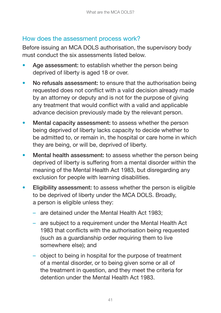### <span id="page-40-0"></span>How does the assessment process work?

Before issuing an MCA DOLS authorisation, the supervisory body must conduct the six assessments listed below.

- Age assessment: to establish whether the person being deprived of liberty is aged 18 or over.
- No refusals assessment: to ensure that the authorisation being requested does not conflict with a valid decision already made by an attorney or deputy and is not for the purpose of giving any treatment that would conflict with a valid and applicable advance decision previously made by the relevant person.
- Mental capacity assessment: to assess whether the person being deprived of liberty lacks capacity to decide whether to be admitted to, or remain in, the hospital or care home in which they are being, or will be, deprived of liberty.
- Mental health assessment: to assess whether the person being deprived of liberty is suffering from a mental disorder within the meaning of the Mental Health Act 1983, but disregarding any exclusion for people with learning disabilities.
- Eligibility assessment: to assess whether the person is eligible to be deprived of liberty under the MCA DOLS. Broadly, a person is eligible unless they:
	- are detained under the Mental Health Act 1983;
	- are subject to a requirement under the Mental Health Act 1983 that conflicts with the authorisation being requested (such as a guardianship order requiring them to live somewhere else); and
	- object to being in hospital for the purpose of treatment of a mental disorder, or to being given some or all of the treatment in question, and they meet the criteria for detention under the Mental Health Act 1983.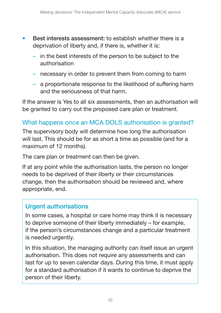- <span id="page-41-0"></span>**Best interests assessment:** to establish whether there is a deprivation of liberty and, if there is, whether it is:
	- in the best interests of the person to be subject to the authorisation
	- necessary in order to prevent them from coming to harm
	- a proportionate response to the likelihood of suffering harm and the seriousness of that harm.

If the answer is Yes to all six assessments, then an authorisation will be granted to carry out the proposed care plan or treatment.

## What happens once an MCA DOLS authorisation is granted?

The supervisory body will determine how long the authorisation will last. This should be for as short a time as possible (and for a maximum of 12 months).

The care plan or treatment can then be given.

If at any point while the authorisation lasts, the person no longer needs to be deprived of their liberty or their circumstances change, then the authorisation should be reviewed and, where appropriate, end.

### **Urgent authorisations**

In some cases, a hospital or care home may think it is necessary to deprive someone of their liberty immediately – for example, if the person's circumstances change and a particular treatment is needed urgently.

In this situation, the managing authority can itself issue an urgent authorisation. This does not require any assessments and can last for up to seven calendar days. During this time, it must apply for a standard authorisation if it wants to continue to deprive the person of their liberty.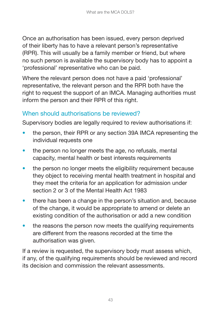<span id="page-42-0"></span>Once an authorisation has been issued, every person deprived of their liberty has to have a relevant person's representative (RPR). This will usually be a family member or friend, but where no such person is available the supervisory body has to appoint a 'professional' representative who can be paid.

Where the relevant person does not have a paid 'professional' representative, the relevant person and the RPR both have the right to request the support of an IMCA. Managing authorities must inform the person and their RPR of this right.

## When should authorisations be reviewed?

Supervisory bodies are legally required to review authorisations if:

- the person, their RPR or any section 39A IMCA representing the individual requests one
- the person no longer meets the age, no refusals, mental capacity, mental health or best interests requirements
- the person no longer meets the eligibility requirement because they object to receiving mental health treatment in hospital and they meet the criteria for an application for admission under section 2 or 3 of the Mental Health Act 1983
- there has been a change in the person's situation and, because of the change, it would be appropriate to amend or delete an existing condition of the authorisation or add a new condition
- the reasons the person now meets the qualifying requirements are different from the reasons recorded at the time the authorisation was given.

If a review is requested, the supervisory body must assess which, if any, of the qualifying requirements should be reviewed and record its decision and commission the relevant assessments.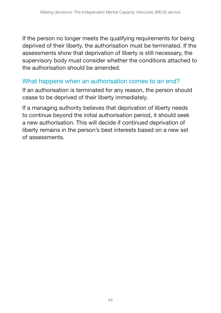<span id="page-43-0"></span>If the person no longer meets the qualifying requirements for being deprived of their liberty, the authorisation must be terminated. If the assessments show that deprivation of liberty is still necessary, the supervisory body must consider whether the conditions attached to the authorisation should be amended.

#### What happens when an authorisation comes to an end?

If an authorisation is terminated for any reason, the person should cease to be deprived of their liberty immediately.

If a managing authority believes that deprivation of liberty needs to continue beyond the initial authorisation period, it should seek a new authorisation. This will decide if continued deprivation of liberty remains in the person's best interests based on a new set of assessments.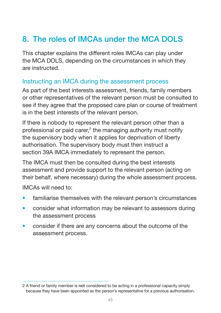# <span id="page-44-0"></span>**8. The roles of IMCAs under the MCA DOLS**

This chapter explains the different roles IMCAs can play under the MCA DOLS, depending on the circumstances in which they are instructed.

#### Instructing an IMCA during the assessment process

As part of the best interests assessment, friends, family members or other representatives of the relevant person must be consulted to see if they agree that the proposed care plan or course of treatment is in the best interests of the relevant person.

If there is nobody to represent the relevant person other than a professional or paid carer,<sup>2</sup> the managing authority must notify the supervisory body when it applies for deprivation of liberty authorisation. The supervisory body must then instruct a section 39A IMCA immediately to represent the person.

The IMCA must then be consulted during the best interests assessment and provide support to the relevant person (acting on their behalf, where necessary) during the whole assessment process.

IMCAs will need to:

- familiarise themselves with the relevant person's circumstances
- consider what information may be relevant to assessors during the assessment process
- consider if there are any concerns about the outcome of the assessment process.

<sup>2</sup> A friend or family member is **not** considered to be acting in a professional capacity simply because they have been appointed as the person's representative for a previous authorisation.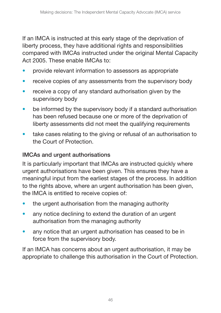If an IMCA is instructed at this early stage of the deprivation of liberty process, they have additional rights and responsibilities compared with IMCAs instructed under the original Mental Capacity Act 2005. These enable IMCAs to:

- provide relevant information to assessors as appropriate
- receive copies of any assessments from the supervisory body
- receive a copy of any standard authorisation given by the supervisory body
- be informed by the supervisory body if a standard authorisation has been refused because one or more of the deprivation of liberty assessments did not meet the qualifying requirements
- take cases relating to the giving or refusal of an authorisation to the Court of Protection.

#### **IMCAs and urgent authorisations**

It is particularly important that IMCAs are instructed quickly where urgent authorisations have been given. This ensures they have a meaningful input from the earliest stages of the process. In addition to the rights above, where an urgent authorisation has been given, the IMCA is entitled to receive copies of:

- the urgent authorisation from the managing authority
- any notice declining to extend the duration of an urgent authorisation from the managing authority
- any notice that an urgent authorisation has ceased to be in force from the supervisory body.

If an IMCA has concerns about an urgent authorisation, it may be appropriate to challenge this authorisation in the Court of Protection.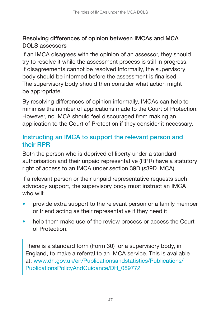### <span id="page-46-0"></span>**Resolving differences of opinion between IMCAs and MCA DOLS assessors**

If an IMCA disagrees with the opinion of an assessor, they should try to resolve it while the assessment process is still in progress. If disagreements cannot be resolved informally, the supervisory body should be informed before the assessment is finalised. The supervisory body should then consider what action might be appropriate.

By resolving differences of opinion informally, IMCAs can help to minimise the number of applications made to the Court of Protection. However, no IMCA should feel discouraged from making an application to the Court of Protection if they consider it necessary.

### **Instructing an IMCA to support the relevant person and their RPR**

Both the person who is deprived of liberty under a standard authorisation and their unpaid representative (RPR) have a statutory right of access to an IMCA under section 39D (s39D IMCA).

If a relevant person or their unpaid representative requests such advocacy support, the supervisory body must instruct an IMCA who will:

- provide extra support to the relevant person or a family member or friend acting as their representative if they need it
- help them make use of the review process or access the Court of Protection.

There is a standard form (Form 30) for a supervisory body, in England, to make a referral to an IMCA service. This is available [at: www.dh.gov.uk/en/Publicationsandstatistics/Publications/](http://www.dh.gov.uk/en/Publicationsandstatistics/Publications/PublicationsPolicyAndGuidance/DH_089772)  PublicationsPolicyAndGuidance/DH\_089772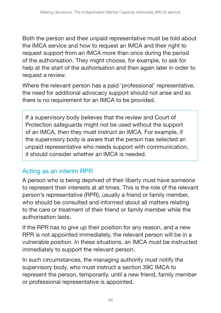<span id="page-47-0"></span>Both the person and their unpaid representative must be told about the IMCA service and how to request an IMCA and their right to request support from an IMCA more than once during the period of the authorisation. They might choose, for example, to ask for help at the start of the authorisation and then again later in order to request a review.

Where the relevant person has a paid 'professional' representative, the need for additional advocacy support should not arise and so there is no requirement for an IMCA to be provided.

If a supervisory body believes that the review and Court of Protection safeguards might not be used without the support of an IMCA, then they must instruct an IMCA. For example, if the supervisory body is aware that the person has selected an unpaid representative who needs support with communication, it should consider whether an IMCA is needed.

## Acting as an interim RPR

A person who is being deprived of their liberty must have someone to represent their interests at all times. This is the role of the relevant person's representative (RPR), usually a friend or family member, who should be consulted and informed about all matters relating to the care or treatment of their friend or family member while the authorisation lasts.

If the RPR has to give up their position for any reason, and a new RPR is not appointed immediately, the relevant person will be in a vulnerable position. In these situations, an IMCA must be instructed immediately to support the relevant person.

In such circumstances, the managing authority must notify the supervisory body, who must instruct a section 39C IMCA to represent the person, temporarily, until a new friend, family member or professional representative is appointed.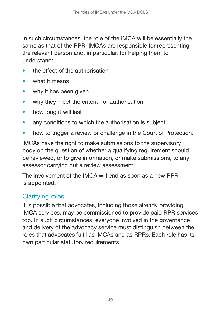<span id="page-48-0"></span>In such circumstances, the role of the IMCA will be essentially the same as that of the RPR. IMCAs are responsible for representing the relevant person and, in particular, for helping them to understand:

- the effect of the authorisation
- what it means
- why it has been given
- why they meet the criteria for authorisation
- how long it will last
- any conditions to which the authorisation is subject
- how to trigger a review or challenge in the Court of Protection.

IMCAs have the right to make submissions to the supervisory body on the question of whether a qualifying requirement should be reviewed, or to give information, or make submissions, to any assessor carrying out a review assessment.

The involvement of the IMCA will end as soon as a new RPR is appointed.

## Clarifying roles

It is possible that advocates, including those already providing IMCA services, may be commissioned to provide paid RPR services too. In such circumstances, everyone involved in the governance and delivery of the advocacy service must distinguish between the roles that advocates fulfil as IMCAs and as RPRs. Each role has its own particular statutory requirements.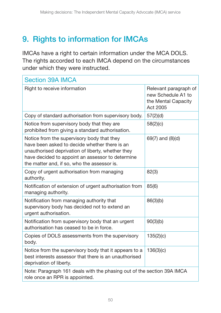# <span id="page-49-0"></span>**9. Rights to information for IMCAs**

IMCAs have a right to certain information under the MCA DOLS. The rights accorded to each IMCA depend on the circumstances under which they were instructed.

| <b>Section 39A IMCA</b>                                                                                                                                                                                                                             |                                                                                |
|-----------------------------------------------------------------------------------------------------------------------------------------------------------------------------------------------------------------------------------------------------|--------------------------------------------------------------------------------|
| Right to receive information                                                                                                                                                                                                                        | Relevant paragraph of<br>new Schedule A1 to<br>the Mental Capacity<br>Act 2005 |
| Copy of standard authorisation from supervisory body.                                                                                                                                                                                               | 57(2)(d)                                                                       |
| Notice from supervisory body that they are<br>prohibited from giving a standard authorisation.                                                                                                                                                      | 58(2)(c)                                                                       |
| Notice from the supervisory body that they<br>have been asked to decide whether there is an<br>unauthorised deprivation of liberty, whether they<br>have decided to appoint an assessor to determine<br>the matter and, if so, who the assessor is. | 69(7) and (8)(d)                                                               |
| Copy of urgent authorisation from managing<br>authority.                                                                                                                                                                                            | 82(3)                                                                          |
| Notification of extension of urgent authorisation from<br>managing authority.                                                                                                                                                                       | 85(6)                                                                          |
| Notification from managing authority that<br>supervisory body has decided not to extend an<br>urgent authorisation.                                                                                                                                 | 86(3)(b)                                                                       |
| Notification from supervisory body that an urgent<br>authorisation has ceased to be in force.                                                                                                                                                       | 90(3)(b)                                                                       |
| Copies of DOLS assessments from the supervisory<br>body.                                                                                                                                                                                            | 135(2)(c)                                                                      |
| Notice from the supervisory body that it appears to a<br>best interests assessor that there is an unauthorised<br>deprivation of liberty.                                                                                                           | 136(3)(c)                                                                      |
| Note: Paragraph 161 deals with the phasing out of the section 39A IMCA<br>role once an RPR is appointed.                                                                                                                                            |                                                                                |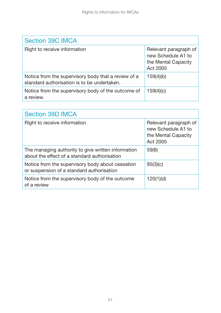| <b>Section 39C IMCA</b>                                                                            |                                                                                |  |
|----------------------------------------------------------------------------------------------------|--------------------------------------------------------------------------------|--|
| Right to receive information                                                                       | Relevant paragraph of<br>new Schedule A1 to<br>the Mental Capacity<br>Act 2005 |  |
| Notice from the supervisory body that a review of a<br>standard authorisation is to be undertaken. | 159(4)(b)                                                                      |  |
| Notice from the supervisory body of the outcome of<br>a review.                                    | 159(4)(c)                                                                      |  |

| <b>Section 39D IMCA</b>                                                                            |                                                                                |
|----------------------------------------------------------------------------------------------------|--------------------------------------------------------------------------------|
| Right to receive information                                                                       | Relevant paragraph of<br>new Schedule A1 to<br>the Mental Capacity<br>Act 2005 |
| The managing authority to give written information<br>about the effect of a standard authorisation | 59(8)                                                                          |
| Notice from the supervisory body about cessation<br>or suspension of a standard authorisation      | 95(3)(c)                                                                       |
| Notice from the supervisory body of the outcome<br>of a review                                     | 120(1)(d)                                                                      |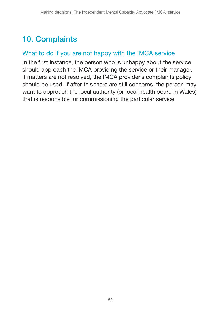# <span id="page-51-0"></span>**10. Complaints**

### What to do if you are not happy with the IMCA service

In the first instance, the person who is unhappy about the service should approach the IMCA providing the service or their manager. If matters are not resolved, the IMCA provider's complaints policy should be used. If after this there are still concerns, the person may want to approach the local authority (or local health board in Wales) that is responsible for commissioning the particular service.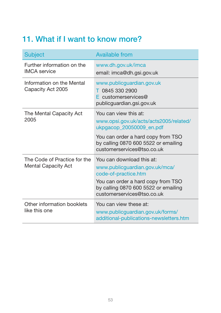## <span id="page-52-0"></span>**11. What if I want to know more?**

| <b>Subject</b>                                             | <b>Available from</b>                                                                                                                                                                           |  |
|------------------------------------------------------------|-------------------------------------------------------------------------------------------------------------------------------------------------------------------------------------------------|--|
| Further information on the<br><b>IMCA</b> service          | www.dh.gov.uk/imca<br>email: imca@dh.gsi.gov.uk                                                                                                                                                 |  |
| Information on the Mental<br>Capacity Act 2005             | www.publicguardian.gov.uk<br>T 0845 330 2900<br>$E$ customerservices@<br>publicguardian.gsi.gov.uk                                                                                              |  |
| The Mental Capacity Act<br>2005                            | You can view this at:<br>www.opsi.gov.uk/acts/acts2005/related/<br>ukpgacop_20050009_en.pdf                                                                                                     |  |
|                                                            | You can order a hard copy from TSO<br>by calling 0870 600 5522 or emailing<br>customerservices@tso.co.uk                                                                                        |  |
| The Code of Practice for the<br><b>Mental Capacity Act</b> | You can download this at:<br>www.publicguardian.gov.uk/mca/<br>code-of-practice.htm<br>You can order a hard copy from TSO<br>by calling 0870 600 5522 or emailing<br>customerservices@tso.co.uk |  |
| Other information booklets<br>like this one                | You can view these at:<br>www.publicguardian.gov.uk/forms/<br>additional-publications-newsletters.htm                                                                                           |  |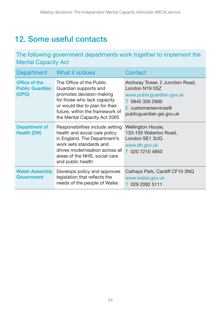## <span id="page-53-0"></span>**12. Some useful contacts**

The following government departments work together to implement the Mental Capacity Act

| <b>Department</b>                                | What it is/does                                                                                                                                                                                                       | Contact                                                                                                                                                 |
|--------------------------------------------------|-----------------------------------------------------------------------------------------------------------------------------------------------------------------------------------------------------------------------|---------------------------------------------------------------------------------------------------------------------------------------------------------|
| Office of the<br><b>Public Guardian</b><br>(OPG) | The Office of the Public<br>Guardian supports and<br>promotes decision-making<br>for those who lack capacity<br>or would like to plan for their<br>future, within the framework of<br>the Mental Capacity Act 2005    | Archway Tower, 2 Junction Road,<br>London N19 5SZ<br>www.publicguardian.gov.uk<br>T 0845 330 2900<br>$E$ customerservices@<br>publicguardian.gsi.gov.uk |
| Department of<br><b>Health (DH)</b>              | Responsibilities include setting<br>health and social care policy<br>in England. The Department's<br>work sets standards and<br>drives modernisation across all<br>areas of the NHS, social care<br>and public health | Wellington House,<br>133-155 Waterloo Road,<br>London SE1 3UG<br>www.dh.gov.uk<br>T 020 7210 4850                                                       |
| <b>Welsh Assembly</b><br>Government              | Develops policy and approves<br>legislation that reflects the<br>needs of the people of Wales                                                                                                                         | Cathays Park, Cardiff CF10 3NQ<br>www.wales.gov.uk<br>T 029 2082 5111                                                                                   |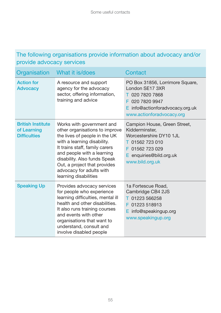#### The following organisations provide information about advocacy and/or provide advocacy services

| Organisation                                                   | What it is/does                                                                                                                                                                                                                                                                                                  | Contact                                                                                                                                                        |
|----------------------------------------------------------------|------------------------------------------------------------------------------------------------------------------------------------------------------------------------------------------------------------------------------------------------------------------------------------------------------------------|----------------------------------------------------------------------------------------------------------------------------------------------------------------|
| <b>Action for</b><br><b>Advocacy</b>                           | A resource and support<br>agency for the advocacy<br>sector, offering information,<br>training and advice                                                                                                                                                                                                        | PO Box 31856, Lorrimore Square,<br>London SE17 3XR<br>T 020 7820 7868<br>020 7820 9947<br>F.<br>$E$ info@actionforadvocacy.org.uk<br>www.actionforadvocacy.org |
| <b>British Institute</b><br>of Learning<br><b>Difficulties</b> | Works with government and<br>other organisations to improve<br>the lives of people in the UK<br>with a learning disability.<br>It trains staff, family carers<br>and people with a learning<br>disability. Also funds Speak<br>Out, a project that provides<br>advocacy for adults with<br>learning disabilities | Campion House, Green Street,<br>Kidderminster.<br>Worcestershire DY10 1JL<br>T 01562 723 010<br>F 01562 723 029<br>E enquiries@bild.org.uk<br>www.bild.org.uk  |
| <b>Speaking Up</b>                                             | Provides advocacy services<br>for people who experience<br>learning difficulties, mental ill<br>health and other disabilities.<br>It also runs training courses<br>and events with other<br>organisations that want to<br>understand, consult and<br>involve disabled people                                     | 1a Fortescue Road.<br>Cambridge CB4 2JS<br>T 01223 566258<br>01223 518913<br>F.<br>$E$ info@speakingup.org<br>www.speakingup.org                               |